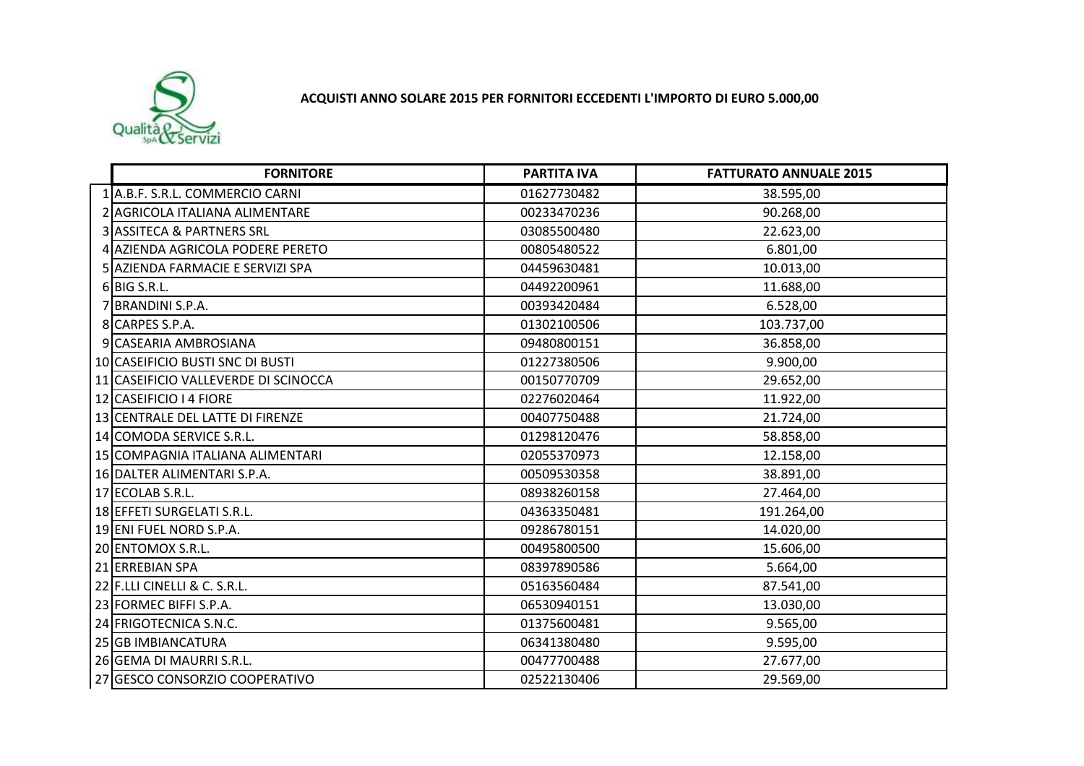

## **ACQUISTI ANNO SOLARE 2015 PER FORNITORI ECCEDENTI L'IMPORTO DI EURO 5.000,00**

| <b>FORNITORE</b>                     | <b>PARTITA IVA</b> | <b>FATTURATO ANNUALE 2015</b> |
|--------------------------------------|--------------------|-------------------------------|
| 1 A.B.F. S.R.L. COMMERCIO CARNI      | 01627730482        | 38.595,00                     |
| 2 AGRICOLA ITALIANA ALIMENTARE       | 00233470236        | 90.268,00                     |
| 3 ASSITECA & PARTNERS SRL            | 03085500480        | 22.623,00                     |
| 4 AZIENDA AGRICOLA PODERE PERETO     | 00805480522        | 6.801,00                      |
| 5 AZIENDA FARMACIE E SERVIZI SPA     | 04459630481        | 10.013,00                     |
| 6BIG S.R.L.                          | 04492200961        | 11.688,00                     |
| 7 BRANDINI S.P.A.                    | 00393420484        | 6.528,00                      |
| 8 CARPES S.P.A.                      | 01302100506        | 103.737,00                    |
| 9 CASEARIA AMBROSIANA                | 09480800151        | 36.858,00                     |
| 10 CASEIFICIO BUSTI SNC DI BUSTI     | 01227380506        | 9.900,00                      |
| 11 CASEIFICIO VALLEVERDE DI SCINOCCA | 00150770709        | 29.652,00                     |
| 12 CASEIFICIO I 4 FIORE              | 02276020464        | 11.922,00                     |
| 13 CENTRALE DEL LATTE DI FIRENZE     | 00407750488        | 21.724,00                     |
| 14 COMODA SERVICE S.R.L.             | 01298120476        | 58.858,00                     |
| 15 COMPAGNIA ITALIANA ALIMENTARI     | 02055370973        | 12.158,00                     |
| 16 DALTER ALIMENTARI S.P.A.          | 00509530358        | 38.891,00                     |
| 17 ECOLAB S.R.L.                     | 08938260158        | 27.464,00                     |
| 18 EFFETI SURGELATI S.R.L.           | 04363350481        | 191.264,00                    |
| 19 ENI FUEL NORD S.P.A.              | 09286780151        | 14.020,00                     |
| 20 ENTOMOX S.R.L.                    | 00495800500        | 15.606,00                     |
| 21 ERREBIAN SPA                      | 08397890586        | 5.664,00                      |
| 22 F.LLI CINELLI & C. S.R.L.         | 05163560484        | 87.541,00                     |
| 23 FORMEC BIFFI S.P.A.               | 06530940151        | 13.030,00                     |
| 24 FRIGOTECNICA S.N.C.               | 01375600481        | 9.565,00                      |
| 25 GB IMBIANCATURA                   | 06341380480        | 9.595,00                      |
| 26 GEMA DI MAURRI S.R.L.             | 00477700488        | 27.677,00                     |
| 27 GESCO CONSORZIO COOPERATIVO       | 02522130406        | 29.569,00                     |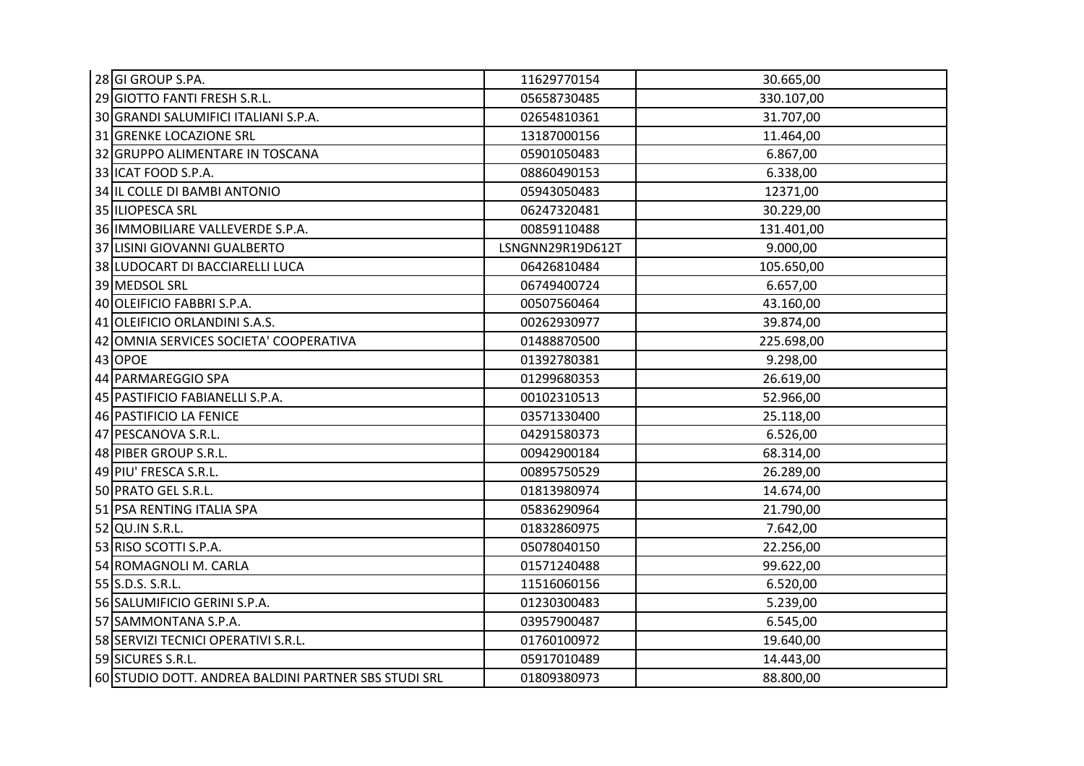| 28 GI GROUP S.PA.                                    | 11629770154      | 30.665,00  |
|------------------------------------------------------|------------------|------------|
| 29 GIOTTO FANTI FRESH S.R.L.                         | 05658730485      | 330.107,00 |
| 30 GRANDI SALUMIFICI ITALIANI S.P.A.                 | 02654810361      | 31.707,00  |
| 31 GRENKE LOCAZIONE SRL                              | 13187000156      | 11.464,00  |
| 32 GRUPPO ALIMENTARE IN TOSCANA                      | 05901050483      | 6.867,00   |
| 33 ICAT FOOD S.P.A.                                  | 08860490153      | 6.338,00   |
| 34 IL COLLE DI BAMBI ANTONIO                         | 05943050483      | 12371,00   |
| 35 ILIOPESCA SRL                                     | 06247320481      | 30.229,00  |
| 36 IMMOBILIARE VALLEVERDE S.P.A.                     | 00859110488      | 131.401,00 |
| 37 LISINI GIOVANNI GUALBERTO                         | LSNGNN29R19D612T | 9.000,00   |
| 38 LUDOCART DI BACCIARELLI LUCA                      | 06426810484      | 105.650,00 |
| 39 MEDSOL SRL                                        | 06749400724      | 6.657,00   |
| 40 OLEIFICIO FABBRI S.P.A.                           | 00507560464      | 43.160,00  |
| 41 OLEIFICIO ORLANDINI S.A.S.                        | 00262930977      | 39.874,00  |
| 42 OMNIA SERVICES SOCIETA' COOPERATIVA               | 01488870500      | 225.698,00 |
| 43 OPOE                                              | 01392780381      | 9.298,00   |
| 44 PARMAREGGIO SPA                                   | 01299680353      | 26.619,00  |
| 45 PASTIFICIO FABIANELLI S.P.A.                      | 00102310513      | 52.966,00  |
| 46 PASTIFICIO LA FENICE                              | 03571330400      | 25.118,00  |
| 47 PESCANOVA S.R.L.                                  | 04291580373      | 6.526,00   |
| 48 PIBER GROUP S.R.L.                                | 00942900184      | 68.314,00  |
| 49 PIU' FRESCA S.R.L.                                | 00895750529      | 26.289,00  |
| 50 PRATO GEL S.R.L.                                  | 01813980974      | 14.674,00  |
| 51 PSA RENTING ITALIA SPA                            | 05836290964      | 21.790,00  |
| 52 QU.IN S.R.L.                                      | 01832860975      | 7.642,00   |
| 53 RISO SCOTTI S.P.A.                                | 05078040150      | 22.256,00  |
| 54 ROMAGNOLI M. CARLA                                | 01571240488      | 99.622,00  |
| 55 S.D.S. S.R.L.                                     | 11516060156      | 6.520,00   |
| 56 SALUMIFICIO GERINI S.P.A.                         | 01230300483      | 5.239,00   |
| 57 SAMMONTANA S.P.A.                                 | 03957900487      | 6.545,00   |
| 58 SERVIZI TECNICI OPERATIVI S.R.L.                  | 01760100972      | 19.640,00  |
| 59 SICURES S.R.L.                                    | 05917010489      | 14.443,00  |
| 60 STUDIO DOTT. ANDREA BALDINI PARTNER SBS STUDI SRL | 01809380973      | 88.800,00  |